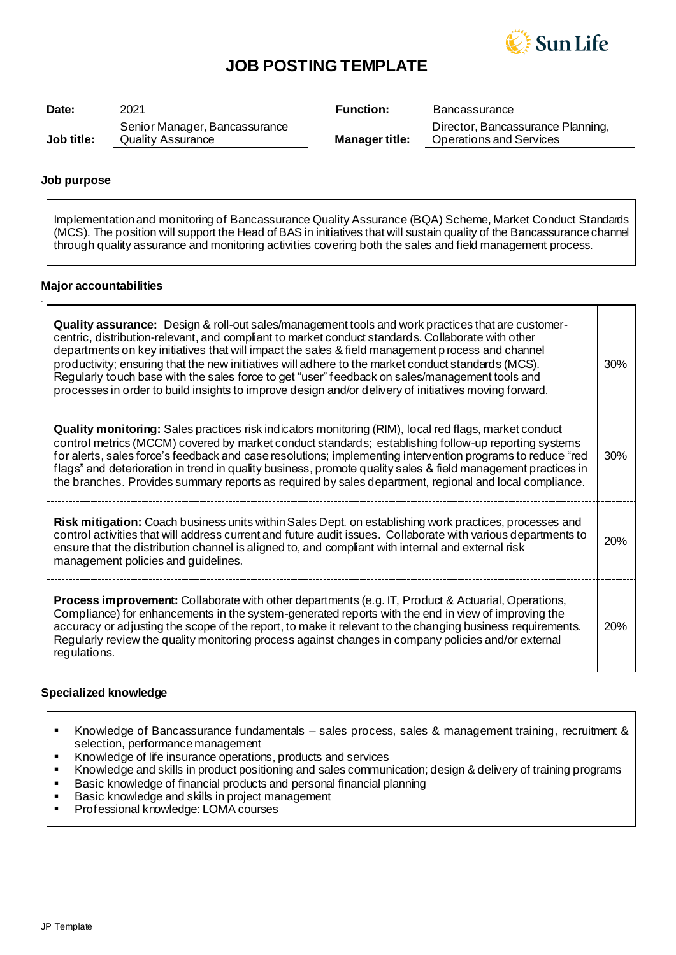

# **JOB POSTING TEMPLATE**

| Date:      | 2021                                                      | <b>Function:</b>      | <b>Bancassurance</b>                                                |
|------------|-----------------------------------------------------------|-----------------------|---------------------------------------------------------------------|
| Job title: | Senior Manager, Bancassurance<br><b>Quality Assurance</b> | <b>Manager title:</b> | Director, Bancassurance Planning,<br><b>Operations and Services</b> |

## **Job purpose**

*.*

Implementation and monitoring of Bancassurance Quality Assurance (BQA) Scheme, Market Conduct Standards (MCS). The position will support the Head of BAS in initiatives that will sustain quality of the Bancassurance channel through quality assurance and monitoring activities covering both the sales and field management process.

### **Major accountabilities**

| Quality assurance: Design & roll-out sales/management tools and work practices that are customer-<br>centric, distribution-relevant, and compliant to market conduct standards. Collaborate with other<br>departments on key initiatives that will impact the sales & field management process and channel<br>productivity; ensuring that the new initiatives will adhere to the market conduct standards (MCS).<br>Regularly touch base with the sales force to get "user" feedback on sales/management tools and<br>processes in order to build insights to improve design and/or delivery of initiatives moving forward. | 30% |
|-----------------------------------------------------------------------------------------------------------------------------------------------------------------------------------------------------------------------------------------------------------------------------------------------------------------------------------------------------------------------------------------------------------------------------------------------------------------------------------------------------------------------------------------------------------------------------------------------------------------------------|-----|
| <b>Quality monitoring:</b> Sales practices risk indicators monitoring (RIM), local red flags, market conduct<br>control metrics (MCCM) covered by market conduct standards; establishing follow-up reporting systems<br>for alerts, sales force's feedback and case resolutions; implementing intervention programs to reduce "red<br>flags" and deterioration in trend in quality business, promote quality sales & field management practices in<br>the branches. Provides summary reports as required by sales department, regional and local compliance.                                                                | 30% |
| Risk mitigation: Coach business units within Sales Dept. on establishing work practices, processes and<br>control activities that will address current and future audit issues. Collaborate with various departments to<br>ensure that the distribution channel is aligned to, and compliant with internal and external risk<br>management policies and guidelines.                                                                                                                                                                                                                                                         | 20% |
| <b>Process improvement:</b> Collaborate with other departments (e.g. IT, Product & Actuarial, Operations,<br>Compliance) for enhancements in the system-generated reports with the end in view of improving the<br>accuracy or adjusting the scope of the report, to make it relevant to the changing business requirements.<br>Regularly review the quality monitoring process against changes in company policies and/or external<br>regulations.                                                                                                                                                                         | 20% |

### **Specialized knowledge**

- Knowledge of Bancassurance fundamentals sales process, sales & management training, recruitment & selection, performance management
- Knowledge of life insurance operations, products and services
- Knowledge and skills in product positioning and sales communication; design & delivery of training programs
- Basic knowledge of financial products and personal financial planning<br>■ Basic knowledge and skills in project management
- Basic knowledge and skills in project management<br>■ Professional knowledge: I OMA courses
- Professional knowledge: LOMA courses